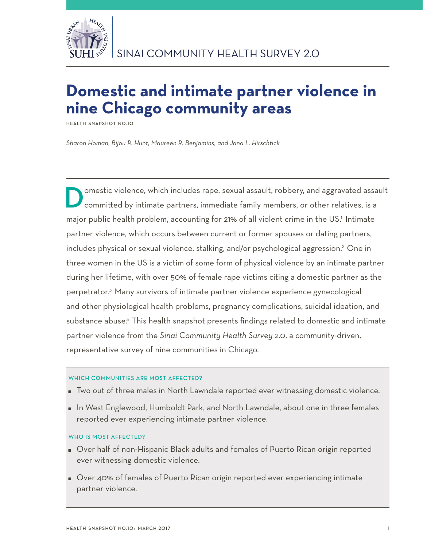

# **Domestic and intimate partner violence in nine Chicago community areas**

**Health Snapshot No.10**

*Sharon Homan, Bijou R. Hunt, Maureen R. Benjamins, and Jana L. Hirschtick*

omestic violence, which includes rape, sexual assault, robbery, and aggravated assault committed by intimate partners, immediate family members, or other relatives, is a major public health problem, accounting for 21% of all violent crime in the US.<sup>1</sup> Intimate partner violence, which occurs between current or former spouses or dating partners, includes physical or sexual violence, stalking, and/or psychological aggression.2 One in three women in the US is a victim of some form of physical violence by an intimate partner during her lifetime, with over 50% of female rape victims citing a domestic partner as the perpetrator.3 Many survivors of intimate partner violence experience gynecological and other physiological health problems, pregnancy complications, suicidal ideation, and substance abuse.<sup>3</sup> This health snapshot presents findings related to domestic and intimate partner violence from the *Sinai Community Health Survey 2.0*, a community-driven, representative survey of nine communities in Chicago.

## WHICH COMMUNITIES ARE MOST AFFECTED?

- Two out of three males in North Lawndale reported ever witnessing domestic violence.
- In West Englewood, Humboldt Park, and North Lawndale, about one in three females reported ever experiencing intimate partner violence.

# WHO IS MOST AFFECTED?

- Over half of non-Hispanic Black adults and females of Puerto Rican origin reported ever witnessing domestic violence.
- Over 40% of females of Puerto Rican origin reported ever experiencing intimate partner violence.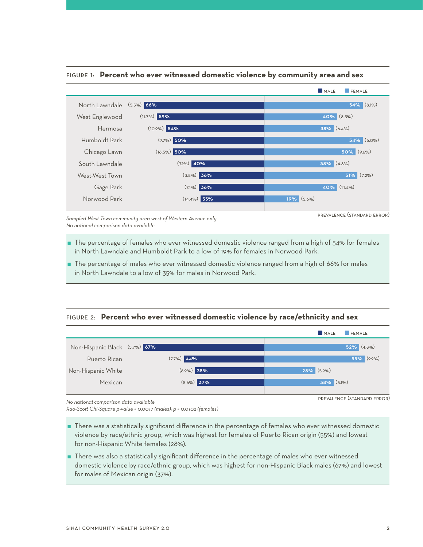

## Figure 1: **Percent who ever witnessed domestic violence by community area and sex**

*Sampled West Town community area west of Western Avenue only No national comparison data available*

- The percentage of females who ever witnessed domestic violence ranged from a high of 54% for females in North Lawndale and Humboldt Park to a low of 19% for females in Norwood Park.
- The percentage of males who ever witnessed domestic violence ranged from a high of 66% for males in North Lawndale to a low of 35% for males in Norwood Park.

# Figure 2: **Percent who ever witnessed domestic violence by race/ethnicity and sex**



*No national comparison data available*

*Rao-Scott Chi-Square p-value = 0.0017 (males); p = 0.0102 (females)* 

- There was a statistically significant difference in the percentage of females who ever witnessed domestic violence by race/ethnic group, which was highest for females of Puerto Rican origin (55%) and lowest for non-Hispanic White females (28%).
- There was also a statistically significant difference in the percentage of males who ever witnessed domestic violence by race/ethnic group, which was highest for non-Hispanic Black males (67%) and lowest for males of Mexican origin (37%).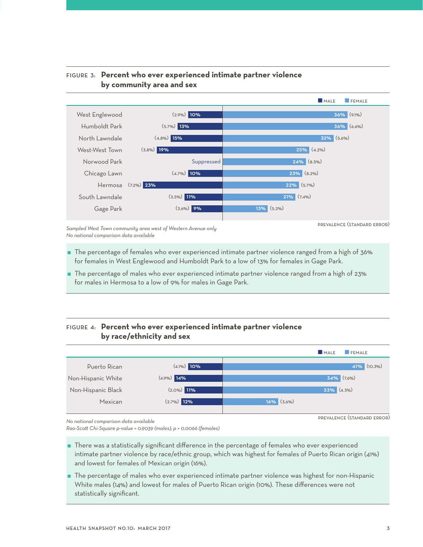

# Figure 3: **Percent who ever experienced intimate partner violence by community area and sex**

*Sampled West Town community area west of Western Avenue only No national comparison data available*

- The percentage of females who ever experienced intimate partner violence ranged from a high of 36% for females in West Englewood and Humboldt Park to a low of 13% for females in Gage Park.
- The percentage of males who ever experienced intimate partner violence ranged from a high of 23% for males in Hermosa to a low of 9% for males in Gage Park.

# Figure 4: **Percent who ever experienced intimate partner violence by race/ethnicity and sex**



*No national comparison data available*

*Rao-Scott Chi-Square p-value = 0.9039 (males); p = 0.0066 (females)* 

 There was a statistically significant difference in the percentage of females who ever experienced intimate partner violence by race/ethnic group, which was highest for females of Puerto Rican origin (41%) and lowest for females of Mexican origin (16%).

 The percentage of males who ever experienced intimate partner violence was highest for non-Hispanic White males (14%) and lowest for males of Puerto Rican origin (10%). These differences were not statistically significant.